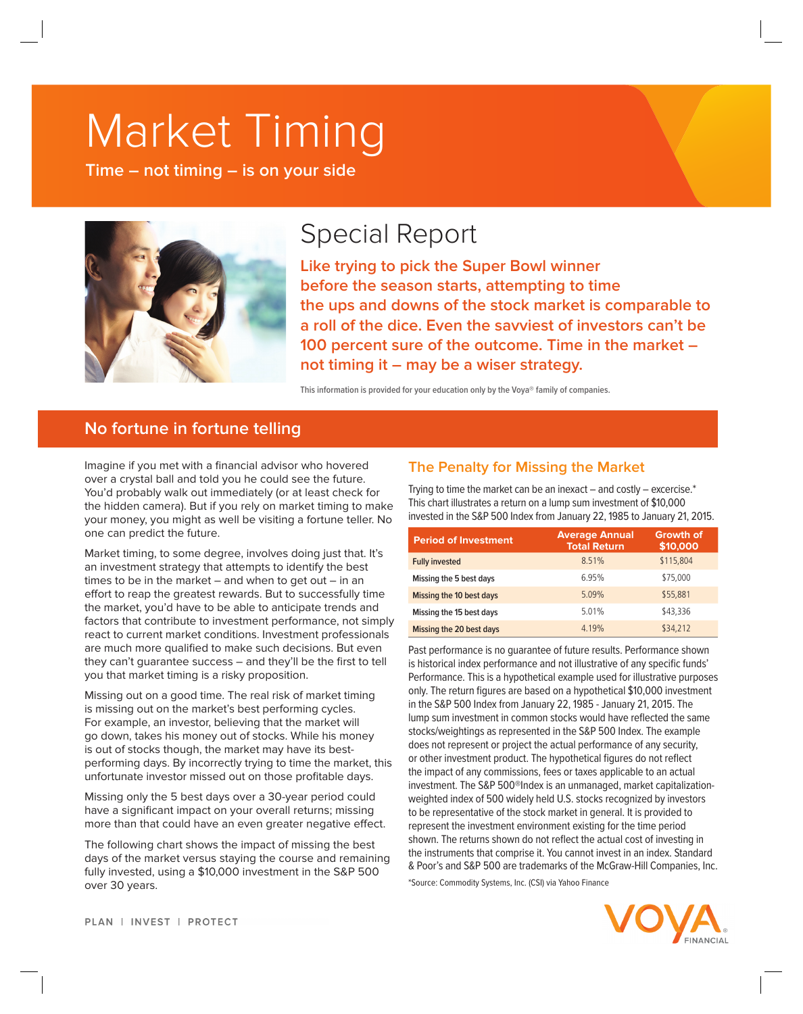# Market Timing

**Time – not timing – is on your side**



# Special Report

**Like trying to pick the Super Bowl winner before the season starts, attempting to time the ups and downs of the stock market is comparable to a roll of the dice. Even the savviest of investors can't be 100 percent sure of the outcome. Time in the market – not timing it – may be a wiser strategy.**

**This information is provided for your education only by the Voya® family of companies.**

# **No fortune in fortune telling**

Imagine if you met with a financial advisor who hovered over a crystal ball and told you he could see the future. You'd probably walk out immediately (or at least check for the hidden camera). But if you rely on market timing to make your money, you might as well be visiting a fortune teller. No one can predict the future.

Market timing, to some degree, involves doing just that. It's an investment strategy that attempts to identify the best times to be in the market  $-$  and when to get out  $-$  in an effort to reap the greatest rewards. But to successfully time the market, you'd have to be able to anticipate trends and factors that contribute to investment performance, not simply react to current market conditions. Investment professionals are much more qualified to make such decisions. But even they can't guarantee success – and they'll be the first to tell you that market timing is a risky proposition.

Missing out on a good time. The real risk of market timing is missing out on the market's best performing cycles. For example, an investor, believing that the market will go down, takes his money out of stocks. While his money is out of stocks though, the market may have its bestperforming days. By incorrectly trying to time the market, this unfortunate investor missed out on those profitable days.

Missing only the 5 best days over a 30-year period could have a significant impact on your overall returns; missing more than that could have an even greater negative effect.

The following chart shows the impact of missing the best days of the market versus staying the course and remaining fully invested, using a \$10,000 investment in the S&P 500 over 30 years.

## **The Penalty for Missing the Market**

Trying to time the market can be an inexact  $-$  and costly  $-$  excercise. $*$ This chart illustrates a return on a lump sum investment of \$10,000 invested in the S&P 500 Index from January 22, 1985 to January 21, 2015.

| <b>Period of Investment</b> | <b>Average Annual</b><br><b>Total Return</b> | <b>Growth of</b><br>\$10,000 |
|-----------------------------|----------------------------------------------|------------------------------|
| <b>Fully invested</b>       | 8.51%                                        | \$115,804                    |
| Missing the 5 best days     | 6.95%                                        | \$75,000                     |
| Missing the 10 best days    | 5.09%                                        | \$55,881                     |
| Missing the 15 best days    | 5.01%                                        | \$43,336                     |
| Missing the 20 best days    | 4.19%                                        | \$34,212                     |

Past performance is no guarantee of future results. Performance shown is historical index performance and not illustrative of any specific funds' Performance. This is a hypothetical example used for illustrative purposes only. The return figures are based on a hypothetical \$10,000 investment in the S&P 500 Index from January 22, 1985 - January 21, 2015. The lump sum investment in common stocks would have reflected the same stocks/weightings as represented in the S&P 500 Index. The example does not represent or project the actual performance of any security, or other investment product. The hypothetical figures do not reflect the impact of any commissions, fees or taxes applicable to an actual investment. The S&P 500®Index is an unmanaged, market capitalizationweighted index of 500 widely held U.S. stocks recognized by investors to be representative of the stock market in general. It is provided to represent the investment environment existing for the time period shown. The returns shown do not reflect the actual cost of investing in the instruments that comprise it. You cannot invest in an index. Standard & Poor's and S&P 500 are trademarks of the McGraw-Hill Companies, Inc.

\*Source: Commodity Systems, Inc. (CSI) via Yahoo Finance